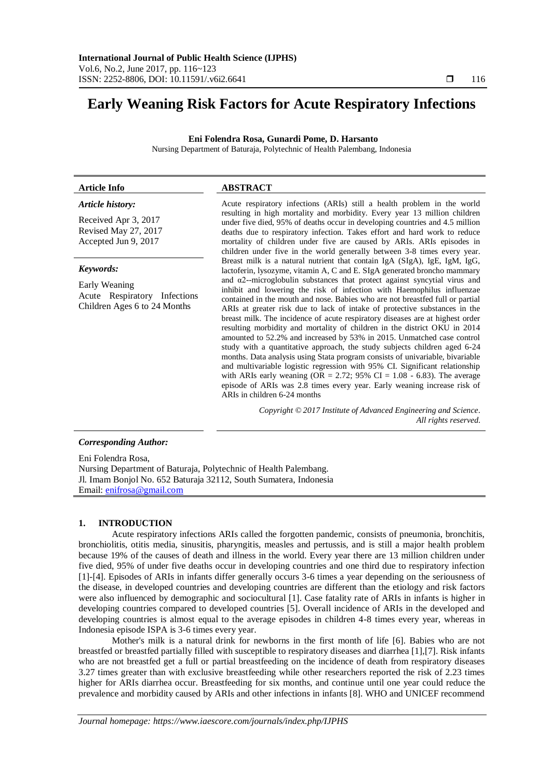# **Early Weaning Risk Factors for Acute Respiratory Infections**

**Eni Folendra Rosa, Gunardi Pome, D. Harsanto**

Nursing Department of Baturaja, Polytechnic of Health Palembang, Indonesia

# **Article Info ABSTRACT**

*Article history:*

Received Apr 3, 2017 Revised May 27, 2017 Accepted Jun 9, 2017

#### *Keywords:*

Early Weaning Acute Respiratory Infections Children Ages 6 to 24 Months

Acute respiratory infections (ARIs) still a health problem in the world resulting in high mortality and morbidity. Every year 13 million children under five died, 95% of deaths occur in developing countries and 4.5 million deaths due to respiratory infection. Takes effort and hard work to reduce mortality of children under five are caused by ARIs. ARIs episodes in children under five in the world generally between 3-8 times every year. Breast milk is a natural nutrient that contain IgA (SIgA), IgE, IgM, IgG, lactoferin, lysozyme, vitamin A, C and E. SIgA generated broncho mammary and  $\alpha$ 2--microglobulin substances that protect against syncytial virus and inhibit and lowering the risk of infection with Haemophilus influenzae contained in the mouth and nose. Babies who are not breastfed full or partial ARIs at greater risk due to lack of intake of protective substances in the breast milk. The incidence of acute respiratory diseases are at highest order resulting morbidity and mortality of children in the district OKU in 2014 amounted to 52.2% and increased by 53% in 2015. Unmatched case control study with a quantitative approach, the study subjects children aged 6-24 months. Data analysis using Stata program consists of univariable, bivariable and multivariable logistic regression with 95% CI. Significant relationship with ARIs early weaning (OR = 2.72; 95% CI =  $1.08 - 6.83$ ). The average episode of ARIs was 2.8 times every year. Early weaning increase risk of ARIs in children 6-24 months

> *Copyright © 2017 Institute of Advanced Engineering and Science. All rights reserved.*

# *Corresponding Author:*

Eni Folendra Rosa, Nursing Department of Baturaja, Polytechnic of Health Palembang. Jl. Imam Bonjol No. 652 Baturaja 32112, South Sumatera, Indonesia Email: [enifrosa@gmail.com](mailto:enifrosa@gmail.com)

# **1. INTRODUCTION**

Acute respiratory infections ARIs called the forgotten pandemic, consists of pneumonia, bronchitis, bronchiolitis, otitis media, sinusitis, pharyngitis, measles and pertussis, and is still a major health problem because 19% of the causes of death and illness in the world. Every year there are 13 million children under five died, 95% of under five deaths occur in developing countries and one third due to respiratory infection [1]-[4]. Episodes of ARIs in infants differ generally occurs 3-6 times a year depending on the seriousness of the disease, in developed countries and developing countries are different than the etiology and risk factors were also influenced by demographic and sociocultural [1]. Case fatality rate of ARIs in infants is higher in developing countries compared to developed countries [5]. Overall incidence of ARIs in the developed and developing countries is almost equal to the average episodes in children 4-8 times every year, whereas in Indonesia episode ISPA is 3-6 times every year.

Mother's milk is a natural drink for newborns in the first month of life [6]. Babies who are not breastfed or breastfed partially filled with susceptible to respiratory diseases and diarrhea [1],[7]. Risk infants who are not breastfed get a full or partial breastfeeding on the incidence of death from respiratory diseases 3.27 times greater than with exclusive breastfeeding while other researchers reported the risk of 2.23 times higher for ARIs diarrhea occur. Breastfeeding for six months, and continue until one year could reduce the prevalence and morbidity caused by ARIs and other infections in infants [8]. WHO and UNICEF recommend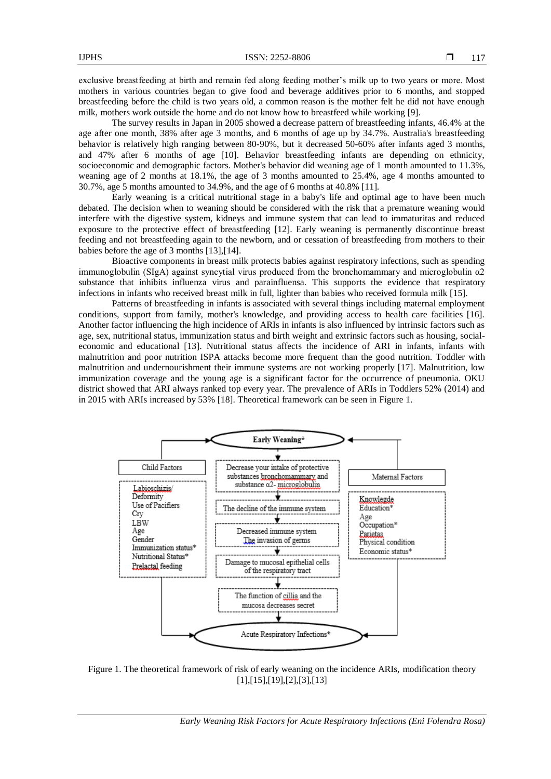exclusive breastfeeding at birth and remain fed along feeding mother's milk up to two years or more. Most mothers in various countries began to give food and beverage additives prior to 6 months, and stopped breastfeeding before the child is two years old, a common reason is the mother felt he did not have enough milk, mothers work outside the home and do not know how to breastfeed while working [9].

The survey results in Japan in 2005 showed a decrease pattern of breastfeeding infants, 46.4% at the age after one month, 38% after age 3 months, and 6 months of age up by 34.7%. Australia's breastfeeding behavior is relatively high ranging between 80-90%, but it decreased 50-60% after infants aged 3 months, and 47% after 6 months of age [10]. Behavior breastfeeding infants are depending on ethnicity, socioeconomic and demographic factors. Mother's behavior did weaning age of 1 month amounted to 11.3%, weaning age of 2 months at 18.1%, the age of 3 months amounted to 25.4%, age 4 months amounted to 30.7%, age 5 months amounted to 34.9%, and the age of 6 months at 40.8% [11].

Early weaning is a critical nutritional stage in a baby's life and optimal age to have been much debated. The decision when to weaning should be considered with the risk that a premature weaning would interfere with the digestive system, kidneys and immune system that can lead to immaturitas and reduced exposure to the protective effect of breastfeeding [12]. Early weaning is permanently discontinue breast feeding and not breastfeeding again to the newborn, and or cessation of breastfeeding from mothers to their babies before the age of 3 months [13],[14].

Bioactive components in breast milk protects babies against respiratory infections, such as spending immunoglobulin (SIgA) against syncytial virus produced from the bronchomammary and microglobulin  $\alpha$ 2 substance that inhibits influenza virus and parainfluensa. This supports the evidence that respiratory infections in infants who received breast milk in full, lighter than babies who received formula milk [15].

Patterns of breastfeeding in infants is associated with several things including maternal employment conditions, support from family, mother's knowledge, and providing access to health care facilities [16]. Another factor influencing the high incidence of ARIs in infants is also influenced by intrinsic factors such as age, sex, nutritional status, immunization status and birth weight and extrinsic factors such as housing, socialeconomic and educational [13]. Nutritional status affects the incidence of ARI in infants, infants with malnutrition and poor nutrition ISPA attacks become more frequent than the good nutrition. Toddler with malnutrition and undernourishment their immune systems are not working properly [17]. Malnutrition, low immunization coverage and the young age is a significant factor for the occurrence of pneumonia. OKU district showed that ARI always ranked top every year. The prevalence of ARIs in Toddlers 52% (2014) and in 2015 with ARIs increased by 53% [18]. Theoretical framework can be seen in Figure 1.



Figure 1. The theoretical framework of risk of early weaning on the incidence ARIs, modification theory [1],[15],[19],[2],[3],[13]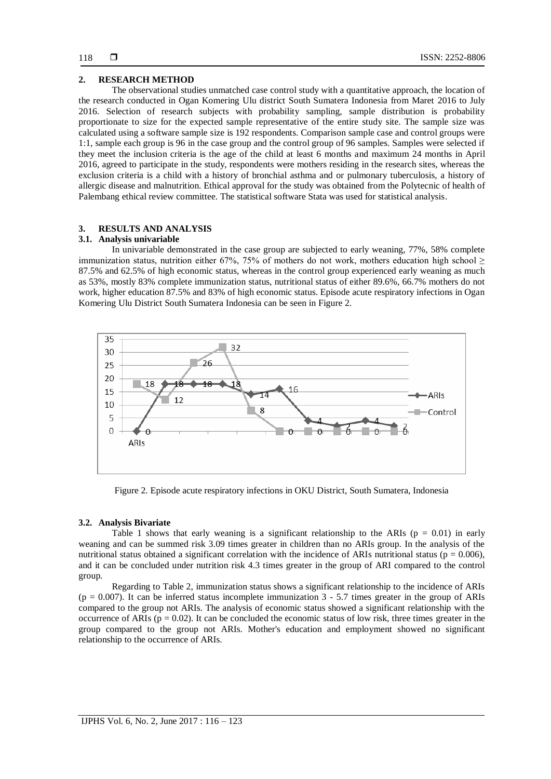# **2. RESEARCH METHOD**

The observational studies unmatched case control study with a quantitative approach, the location of the research conducted in Ogan Komering Ulu district South Sumatera Indonesia from Maret 2016 to July 2016. Selection of research subjects with probability sampling, sample distribution is probability proportionate to size for the expected sample representative of the entire study site. The sample size was calculated using a software sample size is 192 respondents. Comparison sample case and control groups were 1:1, sample each group is 96 in the case group and the control group of 96 samples. Samples were selected if they meet the inclusion criteria is the age of the child at least 6 months and maximum 24 months in April 2016, agreed to participate in the study, respondents were mothers residing in the research sites, whereas the exclusion criteria is a child with a history of bronchial asthma and or pulmonary tuberculosis, a history of allergic disease and malnutrition. Ethical approval for the study was obtained from the Polytecnic of health of Palembang ethical review committee. The statistical software Stata was used for statistical analysis.

# **3. RESULTS AND ANALYSIS**

# **3.1. Analysis univariable**

In univariable demonstrated in the case group are subjected to early weaning, 77%, 58% complete immunization status, nutrition either 67%, 75% of mothers do not work, mothers education high school ≥ 87.5% and 62.5% of high economic status, whereas in the control group experienced early weaning as much as 53%, mostly 83% complete immunization status, nutritional status of either 89.6%, 66.7% mothers do not work, higher education 87.5% and 83% of high economic status. Episode acute respiratory infections in Ogan Komering Ulu District South Sumatera Indonesia can be seen in Figure 2.



Figure 2. Episode acute respiratory infections in OKU District, South Sumatera, Indonesia

# **3.2. Analysis Bivariate**

Table 1 shows that early weaning is a significant relationship to the ARIs ( $p = 0.01$ ) in early weaning and can be summed risk 3.09 times greater in children than no ARIs group. In the analysis of the nutritional status obtained a significant correlation with the incidence of ARIs nutritional status ( $p = 0.006$ ), and it can be concluded under nutrition risk 4.3 times greater in the group of ARI compared to the control group.

Regarding to Table 2, immunization status shows a significant relationship to the incidence of ARIs  $(p = 0.007)$ . It can be inferred status incomplete immunization 3 - 5.7 times greater in the group of ARIs compared to the group not ARIs. The analysis of economic status showed a significant relationship with the occurrence of ARIs ( $p = 0.02$ ). It can be concluded the economic status of low risk, three times greater in the group compared to the group not ARIs. Mother's education and employment showed no significant relationship to the occurrence of ARIs.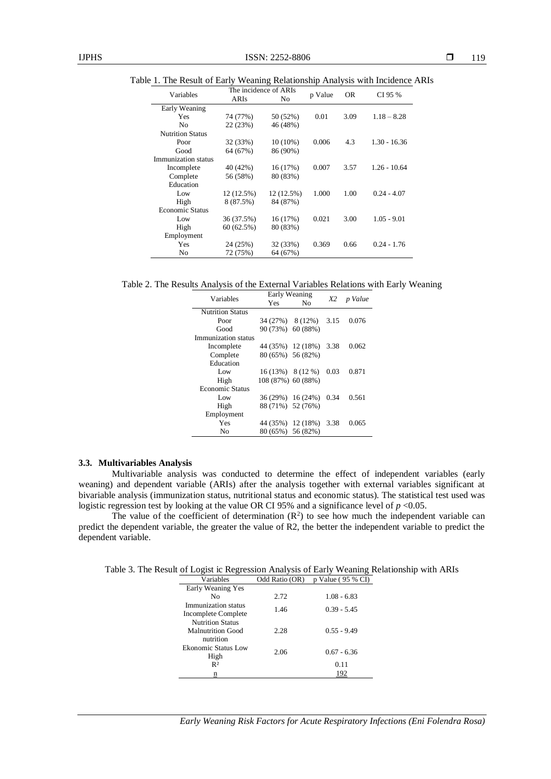Table 1. The Result of Early Weaning Relationship Analysis with Incidence ARIs

| Variables               | The incidence of ARIs |            |         | <b>OR</b> | CI 95 %        |
|-------------------------|-----------------------|------------|---------|-----------|----------------|
|                         | ARIs                  | No         | p Value |           |                |
| Early Weaning           |                       |            |         |           |                |
| Yes                     | 74 (77%)              | 50 (52%)   | 0.01    | 3.09      | $1.18 - 8.28$  |
| N <sub>0</sub>          | 22(23%)               | 46 (48%)   |         |           |                |
| <b>Nutrition Status</b> |                       |            |         |           |                |
| Poor                    | 32 (33%)              | $10(10\%)$ | 0.006   | 4.3       | $1.30 - 16.36$ |
| Good                    | 64 (67%)              | 86 (90%)   |         |           |                |
| Immunization status     |                       |            |         |           |                |
| Incomplete              | 40 (42%)              | 16 (17%)   | 0.007   | 3.57      | $1.26 - 10.64$ |
| Complete                | 56 (58%)              | 80 (83%)   |         |           |                |
| Education               |                       |            |         |           |                |
| Low                     | 12 (12.5%)            | 12 (12.5%) | 1.000   | 1.00      | $0.24 - 4.07$  |
| High                    | 8 (87.5%)             | 84 (87%)   |         |           |                |
| <b>Economic Status</b>  |                       |            |         |           |                |
| Low                     | 36 (37.5%)            | 16 (17%)   | 0.021   | 3.00      | $1.05 - 9.01$  |
| High                    | 60(62.5%)             | 80 (83%)   |         |           |                |
| Employment              |                       |            |         |           |                |
| Yes                     | 24 (25%)              | 32 (33%)   | 0.369   | 0.66      | $0.24 - 1.76$  |
| No                      | 72 (75%)              | 64 (67%)   |         |           |                |

Table 2. The Results Analysis of the External Variables Relations with Early Weaning

| Variables               | Early Weaning      |                        | X2   | p Value |
|-------------------------|--------------------|------------------------|------|---------|
|                         | Yes.               | No                     |      |         |
| <b>Nutrition Status</b> |                    |                        |      |         |
| Poor                    | 34 (27%) 8 (12%)   |                        | 3.15 | 0.076   |
| Good                    | 90 (73%) 60 (88%)  |                        |      |         |
| Immunization status     |                    |                        |      |         |
| Incomplete              |                    | 44 (35%) 12 (18%) 3.38 |      | 0.062   |
| Complete                | 80 (65%) 56 (82%)  |                        |      |         |
| Education               |                    |                        |      |         |
| Low                     | $16(13\%)$ 8(12 %) |                        | 0.03 | 0.871   |
| High                    | 108 (87%) 60 (88%) |                        |      |         |
| <b>Economic Status</b>  |                    |                        |      |         |
| Low                     | 36 (29%) 16 (24%)  |                        | 0.34 | 0.561   |
| High                    | 88 (71%) 52 (76%)  |                        |      |         |
| Employment              |                    |                        |      |         |
| Yes                     |                    | 44 (35%) 12 (18%) 3.38 |      | 0.065   |
| No                      | 80 (65%) 56 (82%)  |                        |      |         |

# **3.3. Multivariables Analysis**

Multivariable analysis was conducted to determine the effect of independent variables (early weaning) and dependent variable (ARIs) after the analysis together with external variables significant at bivariable analysis (immunization status, nutritional status and economic status). The statistical test used was logistic regression test by looking at the value OR CI 95% and a significance level of *p* <0.05.

The value of the coefficient of determination  $(R^2)$  to see how much the independent variable can predict the dependent variable, the greater the value of R2, the better the independent variable to predict the dependent variable.

Table 3. The Result of Logist ic Regression Analysis of Early Weaning Relationship with ARIs

| Variables                                  | Odd Ratio (OR) | p Value (95 % CI) |
|--------------------------------------------|----------------|-------------------|
| Early Weaning Yes                          |                |                   |
| No                                         | 2.72           | $1.08 - 6.83$     |
| Immunization status<br>Incomplete Complete | 1.46           | $0.39 - 5.45$     |
| <b>Nutrition Status</b>                    |                |                   |
| Malnutrition Good<br>nutrition             | 2.28           | $0.55 - 9.49$     |
| Ekonomic Status Low<br>High                | 2.06           | $0.67 - 6.36$     |
| R <sup>2</sup>                             |                | 0.11              |
| n                                          |                | 192               |

*Early Weaning Risk Factors for Acute Respiratory Infections (Eni Folendra Rosa)*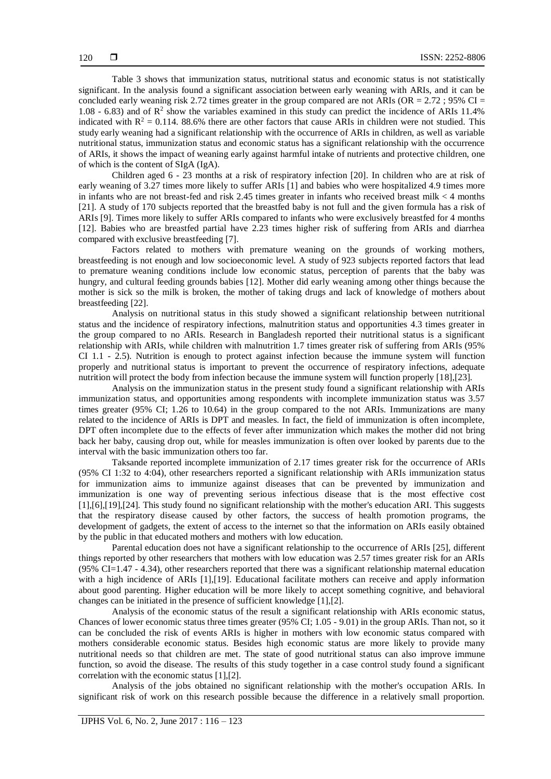Table 3 shows that immunization status, nutritional status and economic status is not statistically significant. In the analysis found a significant association between early weaning with ARIs, and it can be concluded early weaning risk 2.72 times greater in the group compared are not ARIs (OR =  $2.72$ ; 95% CI = 1.08 - 6.83) and of  $\mathbb{R}^2$  show the variables examined in this study can predict the incidence of ARIs 11.4% indicated with  $R^2 = 0.114$ . 88.6% there are other factors that cause ARIs in children were not studied. This study early weaning had a significant relationship with the occurrence of ARIs in children, as well as variable nutritional status, immunization status and economic status has a significant relationship with the occurrence of ARIs, it shows the impact of weaning early against harmful intake of nutrients and protective children, one of which is the content of SIgA (IgA).

Children aged 6 - 23 months at a risk of respiratory infection [20]. In children who are at risk of early weaning of 3.27 times more likely to suffer ARIs [1] and babies who were hospitalized 4.9 times more in infants who are not breast-fed and risk 2.45 times greater in infants who received breast milk < 4 months [21]. A study of 170 subjects reported that the breastfed baby is not full and the given formula has a risk of ARIs [9]. Times more likely to suffer ARIs compared to infants who were exclusively breastfed for 4 months [12]. Babies who are breastfed partial have 2.23 times higher risk of suffering from ARIs and diarrhea compared with exclusive breastfeeding [7].

Factors related to mothers with premature weaning on the grounds of working mothers, breastfeeding is not enough and low socioeconomic level. A study of 923 subjects reported factors that lead to premature weaning conditions include low economic status, perception of parents that the baby was hungry, and cultural feeding grounds babies [12]. Mother did early weaning among other things because the mother is sick so the milk is broken, the mother of taking drugs and lack of knowledge of mothers about breastfeeding [22].

Analysis on nutritional status in this study showed a significant relationship between nutritional status and the incidence of respiratory infections, malnutrition status and opportunities 4.3 times greater in the group compared to no ARIs. Research in Bangladesh reported their nutritional status is a significant relationship with ARIs, while children with malnutrition 1.7 times greater risk of suffering from ARIs (95% CI 1.1 - 2.5). Nutrition is enough to protect against infection because the immune system will function properly and nutritional status is important to prevent the occurrence of respiratory infections, adequate nutrition will protect the body from infection because the immune system will function properly [18],[23].

Analysis on the immunization status in the present study found a significant relationship with ARIs immunization status, and opportunities among respondents with incomplete immunization status was 3.57 times greater (95% CI; 1.26 to 10.64) in the group compared to the not ARIs. Immunizations are many related to the incidence of ARIs is DPT and measles. In fact, the field of immunization is often incomplete, DPT often incomplete due to the effects of fever after immunization which makes the mother did not bring back her baby, causing drop out, while for measles immunization is often over looked by parents due to the interval with the basic immunization others too far.

Taksande reported incomplete immunization of 2.17 times greater risk for the occurrence of ARIs (95% CI 1:32 to 4:04), other researchers reported a significant relationship with ARIs immunization status for immunization aims to immunize against diseases that can be prevented by immunization and immunization is one way of preventing serious infectious disease that is the most effective cost [1],[6],[19],[24]. This study found no significant relationship with the mother's education ARI. This suggests that the respiratory disease caused by other factors, the success of health promotion programs, the development of gadgets, the extent of access to the internet so that the information on ARIs easily obtained by the public in that educated mothers and mothers with low education.

Parental education does not have a significant relationship to the occurrence of ARIs [25], different things reported by other researchers that mothers with low education was 2.57 times greater risk for an ARIs (95% CI=1.47 - 4.34), other researchers reported that there was a significant relationship maternal education with a high incidence of ARIs [1],[19]. Educational facilitate mothers can receive and apply information about good parenting. Higher education will be more likely to accept something cognitive, and behavioral changes can be initiated in the presence of sufficient knowledge [1],[2].

Analysis of the economic status of the result a significant relationship with ARIs economic status, Chances of lower economic status three times greater (95% CI; 1.05 - 9.01) in the group ARIs. Than not, so it can be concluded the risk of events ARIs is higher in mothers with low economic status compared with mothers considerable economic status. Besides high economic status are more likely to provide many nutritional needs so that children are met. The state of good nutritional status can also improve immune function, so avoid the disease. The results of this study together in a case control study found a significant correlation with the economic status [1],[2].

Analysis of the jobs obtained no significant relationship with the mother's occupation ARIs. In significant risk of work on this research possible because the difference in a relatively small proportion.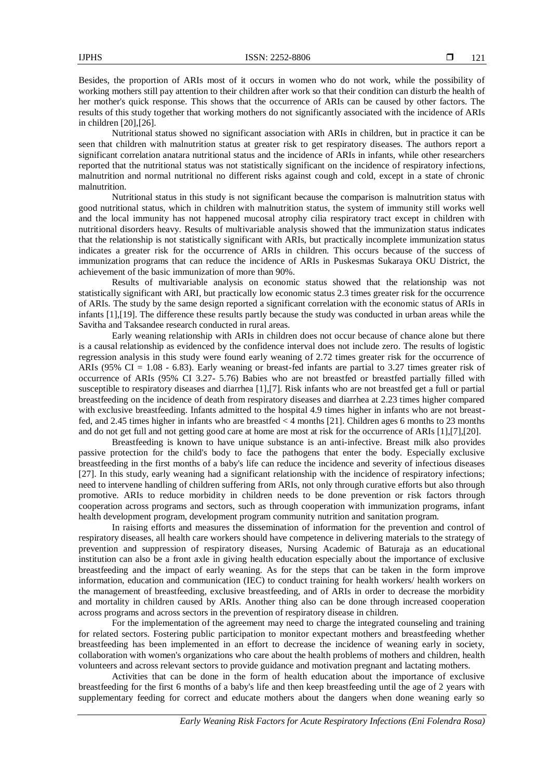Besides, the proportion of ARIs most of it occurs in women who do not work, while the possibility of working mothers still pay attention to their children after work so that their condition can disturb the health of her mother's quick response. This shows that the occurrence of ARIs can be caused by other factors. The results of this study together that working mothers do not significantly associated with the incidence of ARIs in children [20],[26].

Nutritional status showed no significant association with ARIs in children, but in practice it can be seen that children with malnutrition status at greater risk to get respiratory diseases. The authors report a significant correlation anatara nutritional status and the incidence of ARIs in infants, while other researchers reported that the nutritional status was not statistically significant on the incidence of respiratory infections, malnutrition and normal nutritional no different risks against cough and cold, except in a state of chronic malnutrition.

Nutritional status in this study is not significant because the comparison is malnutrition status with good nutritional status, which in children with malnutrition status, the system of immunity still works well and the local immunity has not happened mucosal atrophy cilia respiratory tract except in children with nutritional disorders heavy. Results of multivariable analysis showed that the immunization status indicates that the relationship is not statistically significant with ARIs, but practically incomplete immunization status indicates a greater risk for the occurrence of ARIs in children. This occurs because of the success of immunization programs that can reduce the incidence of ARIs in Puskesmas Sukaraya OKU District, the achievement of the basic immunization of more than 90%.

Results of multivariable analysis on economic status showed that the relationship was not statistically significant with ARI, but practically low economic status 2.3 times greater risk for the occurrence of ARIs. The study by the same design reported a significant correlation with the economic status of ARIs in infants [1],[19]. The difference these results partly because the study was conducted in urban areas while the Savitha and Taksandee research conducted in rural areas.

Early weaning relationship with ARIs in children does not occur because of chance alone but there is a causal relationship as evidenced by the confidence interval does not include zero. The results of logistic regression analysis in this study were found early weaning of 2.72 times greater risk for the occurrence of ARIs ( $95\%$  CI = 1.08 - 6.83). Early weaning or breast-fed infants are partial to 3.27 times greater risk of occurrence of ARIs (95% CI 3.27- 5.76) Babies who are not breastfed or breastfed partially filled with susceptible to respiratory diseases and diarrhea [1],[7]. Risk infants who are not breastfed get a full or partial breastfeeding on the incidence of death from respiratory diseases and diarrhea at 2.23 times higher compared with exclusive breastfeeding. Infants admitted to the hospital 4.9 times higher in infants who are not breastfed, and 2.45 times higher in infants who are breastfed < 4 months [21]. Children ages 6 months to 23 months and do not get full and not getting good care at home are most at risk for the occurrence of ARIs [1],[7],[20].

Breastfeeding is known to have unique substance is an anti-infective. Breast milk also provides passive protection for the child's body to face the pathogens that enter the body. Especially exclusive breastfeeding in the first months of a baby's life can reduce the incidence and severity of infectious diseases [27]. In this study, early weaning had a significant relationship with the incidence of respiratory infections; need to intervene handling of children suffering from ARIs, not only through curative efforts but also through promotive. ARIs to reduce morbidity in children needs to be done prevention or risk factors through cooperation across programs and sectors, such as through cooperation with immunization programs, infant health development program, development program community nutrition and sanitation program.

In raising efforts and measures the dissemination of information for the prevention and control of respiratory diseases, all health care workers should have competence in delivering materials to the strategy of prevention and suppression of respiratory diseases, Nursing Academic of Baturaja as an educational institution can also be a front axle in giving health education especially about the importance of exclusive breastfeeding and the impact of early weaning. As for the steps that can be taken in the form improve information, education and communication (IEC) to conduct training for health workers/ health workers on the management of breastfeeding, exclusive breastfeeding, and of ARIs in order to decrease the morbidity and mortality in children caused by ARIs. Another thing also can be done through increased cooperation across programs and across sectors in the prevention of respiratory disease in children.

For the implementation of the agreement may need to charge the integrated counseling and training for related sectors. Fostering public participation to monitor expectant mothers and breastfeeding whether breastfeeding has been implemented in an effort to decrease the incidence of weaning early in society, collaboration with women's organizations who care about the health problems of mothers and children, health volunteers and across relevant sectors to provide guidance and motivation pregnant and lactating mothers.

Activities that can be done in the form of health education about the importance of exclusive breastfeeding for the first 6 months of a baby's life and then keep breastfeeding until the age of 2 years with supplementary feeding for correct and educate mothers about the dangers when done weaning early so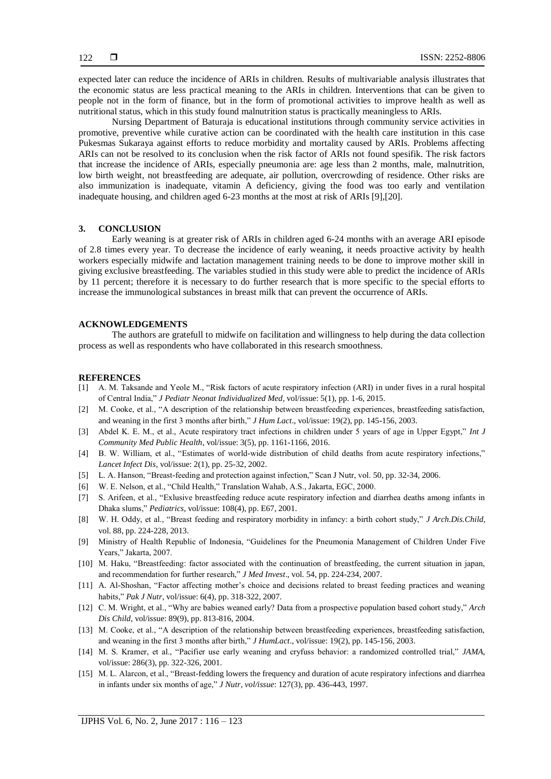expected later can reduce the incidence of ARIs in children. Results of multivariable analysis illustrates that the economic status are less practical meaning to the ARIs in children. Interventions that can be given to people not in the form of finance, but in the form of promotional activities to improve health as well as nutritional status, which in this study found malnutrition status is practically meaningless to ARIs.

Nursing Department of Baturaja is educational institutions through community service activities in promotive, preventive while curative action can be coordinated with the health care institution in this case Pukesmas Sukaraya against efforts to reduce morbidity and mortality caused by ARIs. Problems affecting ARIs can not be resolved to its conclusion when the risk factor of ARIs not found spesifik. The risk factors that increase the incidence of ARIs, especially pneumonia are: age less than 2 months, male, malnutrition, low birth weight, not breastfeeding are adequate, air pollution, overcrowding of residence. Other risks are also immunization is inadequate, vitamin A deficiency, giving the food was too early and ventilation inadequate housing, and children aged 6-23 months at the most at risk of ARIs [9],[20].

# **3. CONCLUSION**

Early weaning is at greater risk of ARIs in children aged 6-24 months with an average ARI episode of 2.8 times every year. To decrease the incidence of early weaning, it needs proactive activity by health workers especially midwife and lactation management training needs to be done to improve mother skill in giving exclusive breastfeeding. The variables studied in this study were able to predict the incidence of ARIs by 11 percent; therefore it is necessary to do further research that is more specific to the special efforts to increase the immunological substances in breast milk that can prevent the occurrence of ARIs.

#### **ACKNOWLEDGEMENTS**

The authors are gratefull to midwife on facilitation and willingness to help during the data collection process as well as respondents who have collaborated in this research smoothness.

#### **REFERENCES**

- [1] A. M. Taksande and Yeole M., "Risk factors of acute respiratory infection (ARI) in under fives in a rural hospital of Central India," *J Pediatr Neonat Individualized Med*, vol/issue: 5(1), pp. 1-6, 2015.
- [2] M. Cooke, et al., "A description of the relationship between breastfeeding experiences, breastfeeding satisfaction, and weaning in the first 3 months after birth," *J Hum Lact*., vol/issue: 19(2), pp. 145-156, 2003.
- [3] Abdel K. E. M., et al., Acute respiratory tract infections in children under 5 years of age in Upper Egypt," *Int J Community Med Public Health*, vol/issue: 3(5), pp. 1161-1166, 2016.
- [4] B. W. William, et al., "Estimates of world-wide distribution of child deaths from acute respiratory infections," *Lancet Infect Dis*, vol/issue: 2(1), pp. 25-32, 2002.
- [5] L. A. Hanson, "Breast-feeding and protection against infection," Scan J Nutr, vol. 50, pp. 32-34, 2006.
- [6] W. E. Nelson, et al., "Child Health," Translation Wahab, A.S., Jakarta, EGC, 2000.
- [7] S. Arifeen, et al., "Exlusive breastfeeding reduce acute respiratory infection and diarrhea deaths among infants in Dhaka slums," *Pediatrics*, vol/issue: 108(4), pp. E67, 2001.
- [8] W. H. Oddy, et al., "Breast feeding and respiratory morbidity in infancy: a birth cohort study," *J Arch.Dis.Child*, vol. 88, pp. 224-228, 2013.
- [9] Ministry of Health Republic of Indonesia, "Guidelines for the Pneumonia Management of Children Under Five Years," Jakarta, 2007.
- [10] M. Haku, "Breastfeeding: factor associated with the continuation of breastfeeding, the current situation in japan, and recommendation for further research," *J Med Invest*., vol. 54, pp. 224-234, 2007.
- [11] A. Al-Shoshan, "Factor affecting mother's choice and decisions related to breast feeding practices and weaning habits," *Pak J Nutr*, vol/issue: 6(4), pp. 318-322, 2007.
- [12] C. M. Wright, et al., "Why are babies weaned early? Data from a prospective population based cohort study," *Arch Dis Child*, vol/issue: 89(9), pp. 813-816, 2004.
- [13] M. Cooke, et al., "A description of the relationship between breastfeeding experiences, breastfeeding satisfaction, and weaning in the first 3 months after birth," *J HumLact*., vol/issue: 19(2), pp. 145-156, 2003.
- [14] M. S. Kramer, et al., "Pacifier use early weaning and cryfuss behavior: a randomized controlled trial," *JAMA*, vol/issue: 286(3), pp. 322-326, 2001.
- [15] M. L. Alarcon, et al., "Breast-fedding lowers the frequency and duration of acute respiratory infections and diarrhea in infants under six months of age," *J Nutr, vol/issue*: 127(3), pp. 436-443, 1997.